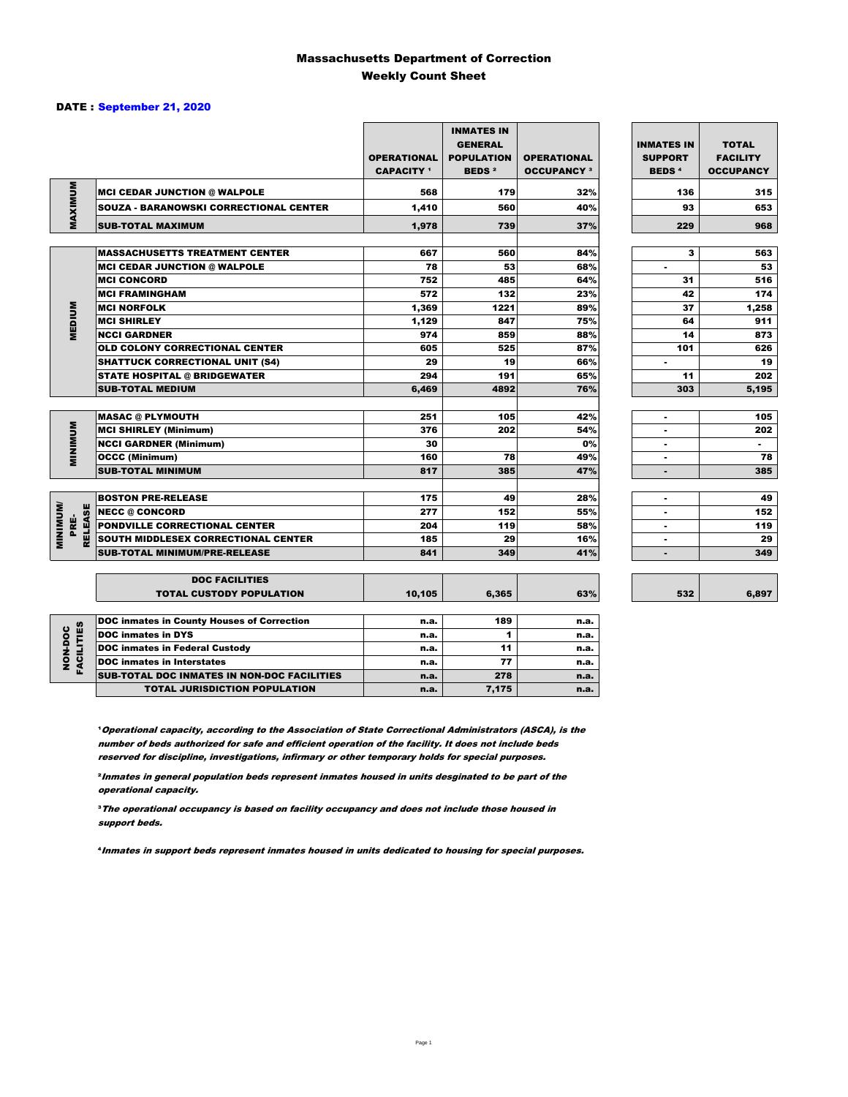### Massachusetts Department of Correction Weekly Count Sheet

### DATE : September 21, 2020

|                                   |                                                   | <b>OPERATIONAL</b><br><b>CAPACITY</b> <sup>1</sup> | <b>INMATES IN</b><br><b>GENERAL</b><br><b>POPULATION</b><br><b>BEDS<sup>2</sup></b> | <b>OPERATIONAL</b><br><b>OCCUPANCY 3</b> | <b>INMATES IN</b><br><b>SUPPORT</b><br><b>BEDS<sup>4</sup></b> | <b>TOTAL</b><br><b>FACILITY</b><br><b>OCCUPANCY</b> |
|-----------------------------------|---------------------------------------------------|----------------------------------------------------|-------------------------------------------------------------------------------------|------------------------------------------|----------------------------------------------------------------|-----------------------------------------------------|
|                                   | <b>MCI CEDAR JUNCTION @ WALPOLE</b>               | 568                                                | 179                                                                                 | 32%                                      | 136                                                            | 315                                                 |
|                                   | <b>SOUZA - BARANOWSKI CORRECTIONAL CENTER</b>     | 1,410                                              | 560                                                                                 | 40%                                      | 93                                                             | 653                                                 |
| MAXIMUM                           | <b>SUB-TOTAL MAXIMUM</b>                          | 1.978                                              | 739                                                                                 | 37%                                      | 229                                                            | 968                                                 |
|                                   |                                                   |                                                    |                                                                                     |                                          |                                                                |                                                     |
|                                   | <b>MASSACHUSETTS TREATMENT CENTER</b>             | 667                                                | 560                                                                                 | 84%                                      | з                                                              | 563                                                 |
|                                   | <b>MCI CEDAR JUNCTION @ WALPOLE</b>               | 78                                                 | 53                                                                                  | 68%                                      | $\blacksquare$                                                 | 53                                                  |
|                                   | <b>MCI CONCORD</b>                                | 752                                                | 485                                                                                 | 64%                                      | 31                                                             | 516                                                 |
|                                   | <b>MCI FRAMINGHAM</b>                             | 572                                                | 132                                                                                 | 23%                                      | 42                                                             | 174                                                 |
|                                   | <b>MCI NORFOLK</b>                                | 1,369                                              | 1221                                                                                | 89%                                      | 37                                                             | 1,258                                               |
| <b>MEDIUM</b>                     | <b>MCI SHIRLEY</b>                                | 1,129                                              | 847                                                                                 | 75%                                      | 64                                                             | 911                                                 |
|                                   | <b>NCCI GARDNER</b>                               | 974                                                | 859                                                                                 | 88%                                      | 14                                                             | 873                                                 |
|                                   | <b>OLD COLONY CORRECTIONAL CENTER</b>             | 605                                                | 525                                                                                 | 87%                                      | 101                                                            | 626                                                 |
|                                   | <b>SHATTUCK CORRECTIONAL UNIT (S4)</b>            | 29                                                 | 19                                                                                  | 66%                                      | ٠                                                              | 19                                                  |
|                                   | <b>STATE HOSPITAL @ BRIDGEWATER</b>               | 294                                                | 191                                                                                 | 65%                                      | 11                                                             | 202                                                 |
|                                   | <b>SUB-TOTAL MEDIUM</b>                           | 6,469                                              | 4892                                                                                | 76%                                      | 303                                                            | 5.195                                               |
|                                   | <b>MASAC @ PLYMOUTH</b>                           | 251                                                | 105                                                                                 | 42%                                      | ٠                                                              | 105                                                 |
|                                   | <b>MCI SHIRLEY (Minimum)</b>                      | 376                                                | 202                                                                                 | 54%                                      | ۰                                                              | 202                                                 |
| <b>MINIMUM</b>                    | <b>NCCI GARDNER (Minimum)</b>                     | 30                                                 |                                                                                     | 0%                                       | ٠                                                              | $\sim$                                              |
|                                   | <b>OCCC (Minimum)</b>                             | 160                                                | 78                                                                                  | 49%                                      | $\overline{a}$                                                 | 78                                                  |
|                                   | <b>SUB-TOTAL MINIMUM</b>                          | 817                                                | 385                                                                                 | 47%                                      | ٠                                                              | 385                                                 |
|                                   |                                                   |                                                    |                                                                                     |                                          |                                                                |                                                     |
|                                   | <b>BOSTON PRE-RELEASE</b>                         | 175                                                | 49                                                                                  | 28%                                      | $\overline{a}$                                                 | 49                                                  |
| <b>MINIMINI</b><br><b>RELEASE</b> | <b>NECC @ CONCORD</b>                             | 277                                                | 152                                                                                 | 55%                                      |                                                                | 152                                                 |
| PRE-                              | PONDVILLE CORRECTIONAL CENTER                     | 204                                                | 119                                                                                 | 58%                                      |                                                                | 119                                                 |
|                                   | SOUTH MIDDLESEX CORRECTIONAL CENTER               | 185                                                | 29                                                                                  | 16%                                      | $\blacksquare$                                                 | 29                                                  |
|                                   | <b>SUB-TOTAL MINIMUM/PRE-RELEASE</b>              | 841                                                | 349                                                                                 | 41%                                      | $\blacksquare$                                                 | 349                                                 |
|                                   | <b>DOC FACILITIES</b>                             |                                                    |                                                                                     |                                          |                                                                |                                                     |
|                                   | <b>TOTAL CUSTODY POPULATION</b>                   | 10,105                                             | 6,365                                                                               | 63%                                      | 532                                                            | 6,897                                               |
|                                   | <b>DOC inmates in County Houses of Correction</b> | n.a.                                               | 189                                                                                 | n.a.                                     |                                                                |                                                     |
| <b>FACILITIES</b><br>NON-DOC      | <b>DOC</b> inmates in DYS                         | n.a.                                               | 1                                                                                   | n.a.                                     |                                                                |                                                     |
|                                   | <b>DOC inmates in Federal Custody</b>             | n.a.                                               | 11                                                                                  | n.a.                                     |                                                                |                                                     |
|                                   | <b>DOC</b> inmates in Interstates                 | n.a.                                               | 77                                                                                  | n.a.                                     |                                                                |                                                     |
|                                   | CUR TOTAL BOO INIMETED IN NON-BOO FACU ITIED      |                                                    | $5 - 6$                                                                             |                                          |                                                                |                                                     |

**Operational capacity, according to the Association of State Correctional Administrators (ASCA), is the** number of beds authorized for safe and efficient operation of the facility. It does not include beds reserved for discipline, investigations, infirmary or other temporary holds for special purposes.

SUB-TOTAL DOC INMATES IN NON-DOC FACILITIES n.a. 278 n.a.

TOTAL JURISDICTION POPULATION **n.a.** 7,175 n.a.

²Inmates in general population beds represent inmates housed in units desginated to be part of the operational capacity.

³The operational occupancy is based on facility occupancy and does not include those housed in support beds.

⁴Inmates in support beds represent inmates housed in units dedicated to housing for special purposes.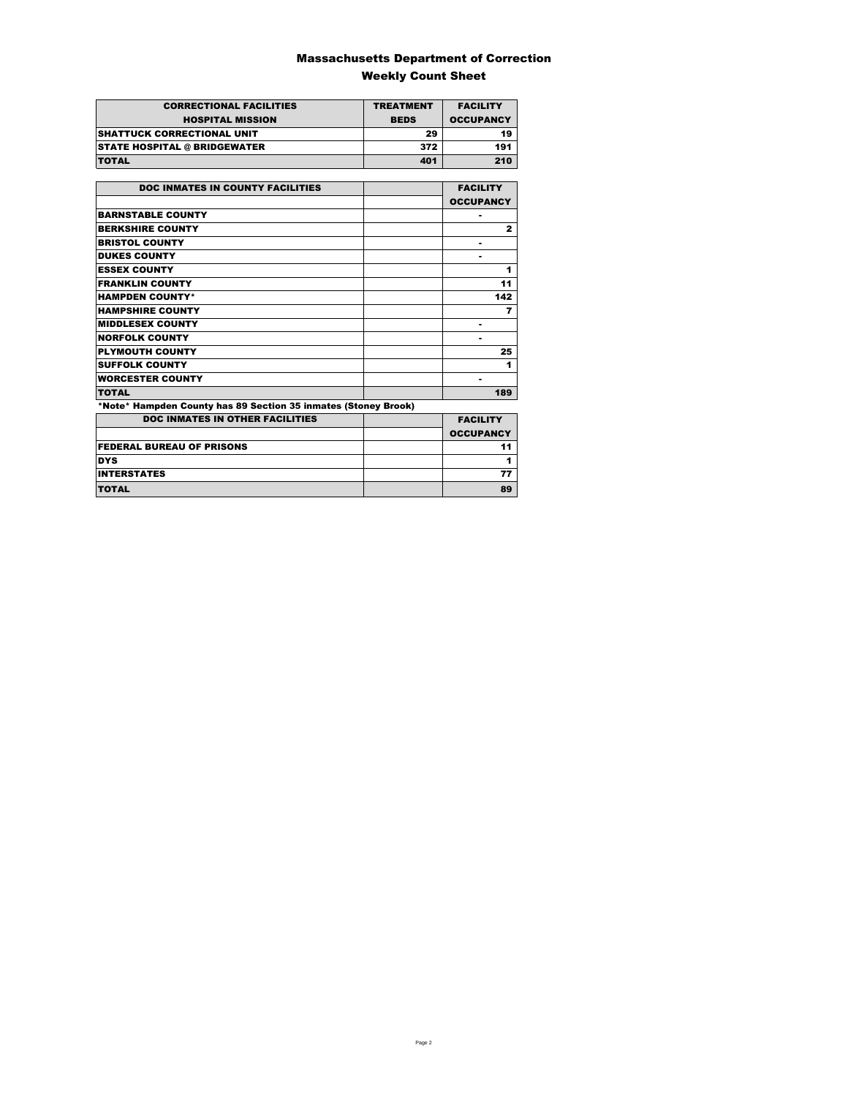### Massachusetts Department of Correction Weekly Count Sheet

| <b>CORRECTIONAL FACILITIES</b>      | <b>TREATMENT</b> | <b>FACILITY</b>  |
|-------------------------------------|------------------|------------------|
| <b>HOSPITAL MISSION</b>             | <b>BEDS</b>      | <b>OCCUPANCY</b> |
| <b>ISHATTUCK CORRECTIONAL UNIT</b>  | 29               | 19               |
| <b>STATE HOSPITAL @ BRIDGEWATER</b> | 372              | 191              |
| <b>TOTAL</b>                        | 401              | 210              |

| <b>DOC INMATES IN COUNTY FACILITIES</b>                        | <b>FACILITY</b>  |
|----------------------------------------------------------------|------------------|
|                                                                | <b>OCCUPANCY</b> |
| <b>BARNSTABLE COUNTY</b>                                       |                  |
| <b>BERKSHIRE COUNTY</b>                                        | $\mathbf{2}$     |
| <b>BRISTOL COUNTY</b>                                          |                  |
| <b>DUKES COUNTY</b>                                            |                  |
| <b>ESSEX COUNTY</b>                                            | 1                |
| <b>FRANKLIN COUNTY</b>                                         | 11               |
| <b>HAMPDEN COUNTY*</b>                                         | 142              |
| <b>HAMPSHIRE COUNTY</b>                                        | 7                |
| <b>MIDDLESEX COUNTY</b>                                        | ٠                |
| <b>NORFOLK COUNTY</b>                                          |                  |
| <b>PLYMOUTH COUNTY</b>                                         | 25               |
| <b>SUFFOLK COUNTY</b>                                          | 1                |
| <b>WORCESTER COUNTY</b>                                        | ۰                |
| <b>TOTAL</b>                                                   | 189              |
| *Note* Hampden County has 89 Section 35 inmates (Stoney Brook) |                  |
| <b>DOC INMATES IN OTHER FACILITIES</b>                         | <b>FACILITY</b>  |
|                                                                | <b>OCCUPANCY</b> |
| <b>FEDERAL BUREAU OF PRISONS</b>                               | 11               |
| <b>DYS</b>                                                     | 1                |
| <b>INTERSTATES</b>                                             | 77               |
| TOTAL                                                          | 89               |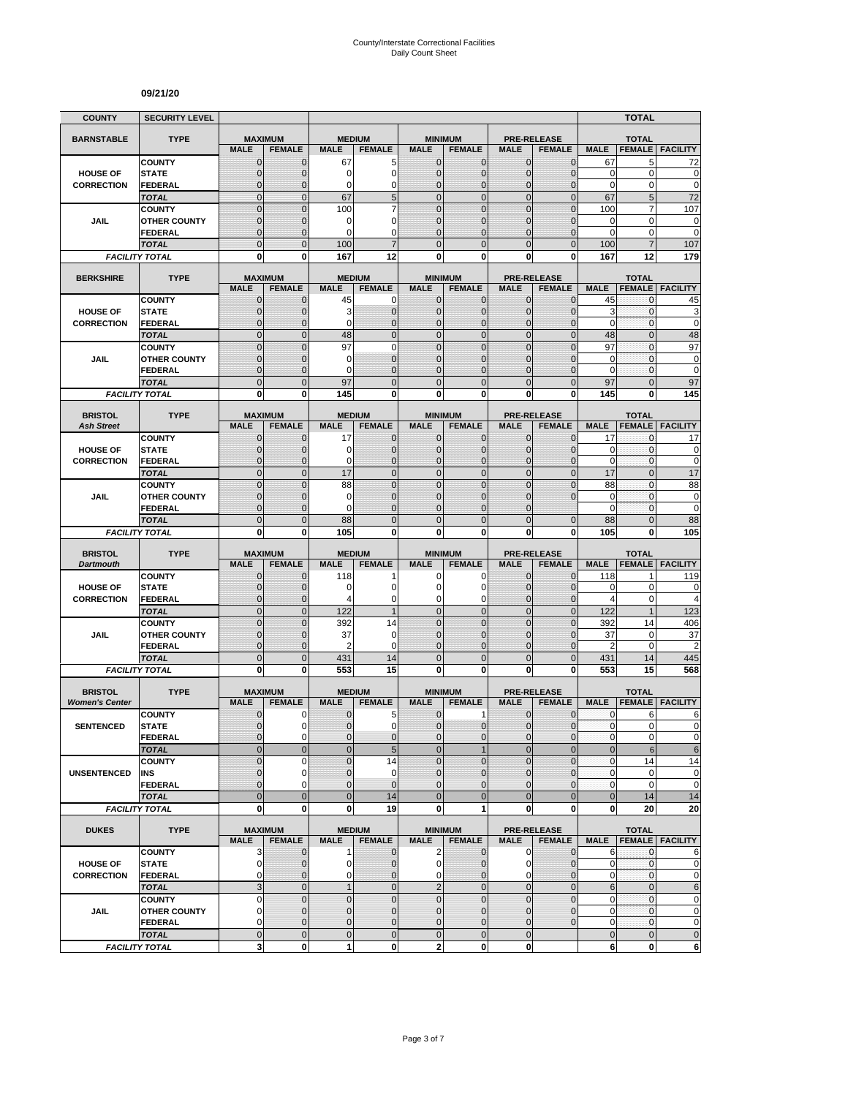#### **09/21/20**

| <b>COUNTY</b>                        | <b>SECURITY LEVEL</b>                 |                                  |                                 |                              |                                  |                                |                                  |                             |                                     |                      | <b>TOTAL</b>                  |                                              |
|--------------------------------------|---------------------------------------|----------------------------------|---------------------------------|------------------------------|----------------------------------|--------------------------------|----------------------------------|-----------------------------|-------------------------------------|----------------------|-------------------------------|----------------------------------------------|
| <b>BARNSTABLE</b>                    | <b>TYPE</b>                           | <b>MAXIMUM</b>                   |                                 | <b>MEDIUM</b>                |                                  |                                | <b>MINIMUM</b>                   |                             | <b>PRE-RELEASE</b>                  |                      | <b>TOTAL</b>                  |                                              |
|                                      |                                       | <b>MALE</b>                      | <b>FEMALE</b>                   | <b>MALE</b>                  | <b>FEMALE</b>                    | <b>MALE</b>                    | <b>FEMALE</b>                    | <b>MALE</b>                 | <b>FEMALE</b>                       | <b>MALE</b>          | <b>FEMALE</b>                 | <b>FACILITY</b>                              |
|                                      | <b>COUNTY</b>                         | $\mathbf 0$                      | $\mathbf{0}$                    | 67                           | 5                                | $\mathbf 0$                    | 0                                | $\mathbf{0}$                | $\mathbf{0}$                        | 67                   | 5                             | 72                                           |
| <b>HOUSE OF</b>                      | <b>STATE</b>                          | $\overline{0}$                   | $\mathbf 0$                     | 0                            | $\overline{0}$                   | $\mathbf 0$                    | $\overline{0}$                   | $\mathbf{0}$                | $\overline{0}$                      | $\mathbf 0$          | 0                             | $\mathbf 0$                                  |
| <b>CORRECTION</b>                    | FEDERAL                               | $\mathbf 0$                      | $\mathbf 0$                     | 0                            | 0                                | $\mathbf{0}$                   | $\mathbf 0$                      | $\mathbf 0$                 | $\overline{0}$                      | $\mathbf 0$          | 0                             | $\mathbf 0$                                  |
|                                      | <b>TOTAL</b>                          | $\mathbf 0$<br>$\mathbf 0$       | $\mathbf{0}$<br>$\mathbf{0}$    | 67<br>100                    | 5<br>$\overline{7}$              | $\overline{0}$<br>$\mathbf 0$  | $\mathbf 0$<br>$\mathbf 0$       | $\mathbf{0}$<br>$\mathbf 0$ | $\mathbf 0$<br>$\overline{0}$       | 67<br>100            | 5                             | 72<br>107                                    |
| JAIL                                 | <b>COUNTY</b><br><b>OTHER COUNTY</b>  | $\mathbf 0$                      | $\mathbf 0$                     | 0                            | 0                                | $\mathbf{0}$                   | $\overline{0}$                   | $\mathbf 0$                 | $\overline{0}$                      | $\mathbf 0$          | 7<br>$\pmb{0}$                | $\mathbf 0$                                  |
|                                      | <b>FEDERAL</b>                        | $\mathbf 0$                      | $\mathbf{0}$                    | 0                            | $\Omega$                         | $\Omega$                       | $\mathbf 0$                      | $\Omega$                    | $\overline{0}$                      | $\mathbf 0$          | 0                             | $\mathbf 0$                                  |
|                                      | <b>TOTAL</b>                          | $\overline{0}$                   | $\mathbf{0}$                    | 100                          |                                  | $\Omega$                       | $\overline{0}$                   | $\Omega$                    | $\overline{0}$                      | 100                  |                               | 107                                          |
|                                      | <b>FACILITY TOTAL</b>                 | 0                                | 0                               | 167                          | 12                               | $\mathbf{0}$                   | 0                                | 0                           | 0                                   | 167                  | 12                            | 179                                          |
|                                      |                                       |                                  |                                 |                              |                                  |                                |                                  |                             |                                     |                      |                               |                                              |
| <b>BERKSHIRE</b>                     | <b>TYPE</b>                           | <b>MALE</b>                      | <b>MAXIMUM</b><br><b>FEMALE</b> | <b>MEDIUM</b><br><b>MALE</b> | <b>FEMALE</b>                    | <b>MALE</b>                    | <b>MINIMUM</b><br><b>FEMALE</b>  | <b>MALE</b>                 | <b>PRE-RELEASE</b><br><b>FEMALE</b> | <b>MALE</b>          | <b>TOTAL</b><br><b>FEMALE</b> | <b>FACILITY</b>                              |
|                                      | <b>COUNTY</b>                         | $\mathbf{0}$                     | $\mathbf 0$                     | 45                           | 0                                | $\mathbf{0}$                   | $\mathbf 0$                      | $\mathbf{0}$                | $\mathbf 0$                         | 45                   | 0                             | 45                                           |
| <b>HOUSE OF</b>                      | <b>STATE</b>                          | 0                                | $\mathbf{0}$                    | 3                            | $\mathbf 0$                      | $\mathbf{0}$                   | $\mathbf 0$                      | $\mathbf{0}$                | $\mathbf{0}$                        | 3                    | 0                             | 3                                            |
| <b>CORRECTION</b>                    | <b>FEDERAL</b>                        | $\mathbf 0$                      | $\mathbf 0$                     | 0                            | $\overline{0}$                   | $\mathbf{0}$                   | $\overline{0}$                   | $\mathbf{0}$                | $\mathbf 0$                         | $\mathbf 0$          | 0                             | $\mathbf 0$                                  |
|                                      | <b>TOTAL</b>                          | $\overline{0}$                   | $\mathbf{0}$                    | 48                           | $\overline{0}$                   | $\overline{0}$                 | $\overline{0}$                   | $\mathbf{0}$                | $\overline{0}$                      | 48                   | $\overline{0}$                | 48                                           |
|                                      | <b>COUNTY</b>                         | $\overline{0}$<br>0              | $\mathbf 0$<br>$\mathbf{0}$     | 97<br>0                      | $\mathbf 0$<br>$\overline{0}$    | $\overline{0}$<br>$\mathbf{0}$ | $\overline{0}$<br>$\overline{0}$ | $\overline{0}$<br>$\Omega$  | $\overline{0}$<br>$\mathbf{0}$      | 97<br>$\mathbf 0$    | $\mathbf{0}$<br>$\mathbf{0}$  | 97<br>$\mathbf 0$                            |
| <b>JAIL</b>                          | <b>OTHER COUNTY</b><br><b>FEDERAL</b> | $\mathbf 0$                      | $\mathbf{0}$                    | 0                            | $\overline{0}$                   | $\mathbf{0}$                   | $\overline{0}$                   | $\mathbf 0$                 | $\overline{0}$                      | $\mathbf 0$          | $\mathbf{0}$                  | $\mathbf 0$                                  |
|                                      | <b>TOTAL</b>                          | $\mathbf 0$                      | $\mathbf{0}$                    | 97                           | $\overline{0}$                   | $\mathbf{0}$                   | $\mathbf 0$                      | $\mathbf{0}$                | $\mathbf 0$                         | 97                   | $\overline{0}$                | 97                                           |
|                                      | <b>FACILITY TOTAL</b>                 | 0                                | $\mathbf{0}$                    | 145                          | 0                                | 0                              | $\bf{0}$                         | 0                           | 0                                   | 145                  | 0                             | 145                                          |
|                                      |                                       |                                  |                                 |                              |                                  |                                |                                  |                             |                                     |                      |                               |                                              |
| <b>BRISTOL</b><br><b>Ash Street</b>  | <b>TYPE</b>                           | <b>MAXIMUM</b><br><b>MALE</b>    | <b>FEMALE</b>                   | <b>MEDIUM</b><br><b>MALE</b> | <b>FEMALE</b>                    | <b>MALE</b>                    | <b>MINIMUM</b><br><b>FEMALE</b>  | <b>MALE</b>                 | <b>PRE-RELEASE</b><br><b>FEMALE</b> | <b>MALE</b>          | <b>TOTAL</b><br><b>FEMALE</b> | <b>FACILITY</b>                              |
|                                      | <b>COUNTY</b>                         | 0                                | $\mathbf{0}$                    | 17                           | $\mathbf 0$                      | $\mathbf 0$                    | 0                                | $\mathbf{0}$                | $\mathbf{0}$                        | 17                   | 0                             | 17                                           |
| <b>HOUSE OF</b>                      | <b>STATE</b>                          | $\mathbf{0}$                     | $\mathbf{0}$                    | 0                            | $\mathbf 0$                      | $\mathbf{0}$                   | $\mathbf{0}$                     | $\mathbf{0}$                | $\mathbf{0}$                        | 0                    | 0                             | 0                                            |
| <b>CORRECTION</b>                    | <b>FEDERAL</b>                        | $\mathbf{0}$                     | $\mathbf{0}$                    | 0                            | $\mathbf{0}$                     | $\mathbf{0}$                   | $\overline{0}$                   | $\mathbf{0}$                | $\overline{0}$                      | $\mathbf 0$          | 0                             | $\mathbf 0$                                  |
|                                      | <b>TOTAL</b>                          | $\overline{0}$                   | $\overline{0}$                  | 17                           | $\overline{0}$                   | $\mathbf 0$                    | $\overline{0}$                   | $\mathbf{0}$                | $\overline{0}$                      | 17                   | $\overline{0}$                | 17                                           |
|                                      | <b>COUNTY</b>                         | $\overline{0}$                   | $\overline{0}$                  | 88                           | $\overline{0}$                   | $\mathbf 0$                    | $\overline{0}$                   | $\overline{0}$              | $\overline{0}$                      | 88                   | $\overline{0}$                | 88                                           |
| JAIL                                 | <b>OTHER COUNTY</b>                   | $\mathbf 0$                      | $\mathbf 0$                     | 0                            | $\overline{0}$                   | $\mathbf{0}$                   | $\overline{0}$                   | $\mathbf 0$                 | $\overline{0}$                      | $\mathbf 0$          | $\mathbf{0}$                  | $\mathbf 0$                                  |
|                                      | <b>FEDERAL</b><br><b>TOTAL</b>        | $\overline{0}$<br>$\overline{0}$ | $\mathbf{0}$<br>$\mathbf{0}$    | 0<br>88                      | $\overline{0}$<br>$\overline{0}$ | $\Omega$<br>$\overline{0}$     | $\overline{0}$<br>$\overline{0}$ | $\Omega$<br>$\overline{0}$  | $\mathbf{0}$                        | $\mathbf 0$<br>88    | 0<br>$\overline{0}$           | $\mathbf 0$<br>88                            |
|                                      | <b>FACILITY TOTAL</b>                 | 0                                | 0                               | 105                          | 0                                | 0                              | 0                                | 0                           | 0                                   | 105                  | 0                             | 105                                          |
|                                      |                                       |                                  |                                 |                              |                                  |                                |                                  |                             |                                     |                      |                               |                                              |
|                                      |                                       |                                  |                                 |                              |                                  |                                |                                  |                             |                                     |                      |                               |                                              |
| <b>BRISTOL</b>                       | <b>TYPE</b>                           |                                  | <b>MAXIMUM</b>                  | <b>MEDIUM</b>                |                                  |                                | <b>MINIMUM</b>                   |                             | <b>PRE-RELEASE</b>                  |                      | <b>TOTAL</b>                  |                                              |
| <b>Dartmouth</b>                     |                                       | <b>MALE</b>                      | <b>FEMALE</b>                   | <b>MALE</b>                  | <b>FEMALE</b>                    | <b>MALE</b>                    | <b>FEMALE</b>                    | <b>MALE</b>                 | <b>FEMALE</b>                       | <b>MALE</b>          | <b>FEMALE</b>                 | <b>FACILITY</b>                              |
|                                      | <b>COUNTY</b><br><b>STATE</b>         | $\mathbf 0$                      | $\mathbf 0$<br>$\mathbf{0}$     | 118                          | 0                                | 0<br>$\Omega$                  | 0<br>0                           | $\mathbf 0$<br>$\Omega$     | 0<br>$\mathbf{0}$                   | 118<br>0             | 1<br>$\mathbf 0$              | 119                                          |
| <b>HOUSE OF</b><br><b>CORRECTION</b> | <b>FEDERAL</b>                        | $\mathbf 0$<br>$\mathbf 0$       | $\mathbf{0}$                    | 0<br>Δ                       | 0                                | 0                              | 0                                | $\mathbf 0$                 | $\mathbf{0}$                        | $\overline{4}$       | 0                             | 0<br>$\overline{4}$                          |
|                                      | <b>TOTAL</b>                          | $\mathbf 0$                      | $\mathbf{0}$                    | 122                          | $\overline{1}$                   | $\overline{0}$                 | $\mathbf 0$                      | $\mathbf{0}$                | $\overline{0}$                      | 122                  | $\mathbf{1}$                  | 123                                          |
|                                      | <b>COUNTY</b>                         | $\mathbf 0$                      | $\mathbf{0}$                    | 392                          | 14                               | $\mathbf{0}$                   | $\mathbf 0$                      | $\mathbf{0}$                | $\mathbf 0$                         | 392                  | 14                            | 406                                          |
| JAIL                                 | <b>OTHER COUNTY</b>                   | $\overline{0}$                   | $\mathbf{0}$                    | 37                           | $\mathbf 0$                      | $\mathbf{0}$                   | $\overline{0}$                   | $\mathbf 0$                 | $\overline{0}$                      | 37                   | 0                             | 37                                           |
|                                      | FEDERAL                               | $\mathbf 0$                      | $\mathbf{0}$                    | 2                            | 0                                | $\mathbf{0}$                   | 0                                | $\mathbf{0}$                | $\mathbf 0$                         | $\overline{2}$       | $\mathbf 0$                   | $\overline{c}$                               |
|                                      | <b>TOTAL</b>                          | $\mathbf 0$                      | $\overline{0}$                  | 431                          | 14                               | $\mathbf 0$                    | $\mathbf 0$                      | $\overline{0}$              | $\mathbf 0$                         | 431                  | 14                            | 445                                          |
|                                      | <b>FACILITY TOTAL</b>                 | $\mathbf{0}$                     | $\mathbf{0}$                    | 553                          | 15                               | $\mathbf{0}$                   | $\bf{0}$                         | 0                           | 0                                   | 553                  | 15                            | 568                                          |
| <b>BRISTOL</b>                       | <b>TYPE</b>                           |                                  | <b>MAXIMUM</b>                  | <b>MEDIUM</b>                |                                  |                                | <b>MINIMUM</b>                   |                             | <b>PRE-RELEASE</b>                  |                      | <b>TOTAL</b>                  |                                              |
| <b>Women's Center</b>                |                                       | <b>MALE</b>                      | <b>FEMALE</b>                   | <b>MALE</b>                  | <b>FEMALE</b>                    | <b>MALE</b>                    | <b>FEMALE</b>                    | <b>MALE</b>                 | <b>FEMALE</b>                       | <b>MALE</b>          | <b>FEMALE</b>                 | <b>FACILITY</b>                              |
|                                      | <b>COUNTY</b>                         | 0                                | 0                               | 0                            | 5                                | $\mathbf 0$                    | 1                                | 0                           | $\mathbf 0$                         | 0                    | 6                             | 6                                            |
| <b>SENTENCED</b>                     | <b>STATE</b>                          | $\overline{0}$                   | $\Omega$                        | $\overline{0}$               | 0                                | $\overline{0}$                 | $\mathbf 0$                      | $\mathbf{0}$                | $\mathbf{0}$                        | $\mathbf{0}$         | $\overline{0}$                | 0                                            |
|                                      | <b>FEDERAL</b><br><b>TOTAL</b>        | 0<br>$\mathbf 0$                 | $\mathbf 0$<br>$\mathbf{0}$     | 0<br>$\mathbf 0$             | $\mathbf 0$<br>5                 | $\mathbf{0}$<br>$\mathbf{0}$   | $\mathbf 0$<br>$\mathbf{1}$      | $\mathbf 0$<br>$\mathbf{0}$ | $\mathbf 0$<br>$\mathbf 0$          | $\pmb{0}$<br>$\bf 0$ | 0<br>6                        |                                              |
|                                      | <b>COUNTY</b>                         | $\mathbf 0$                      | 0                               | $\overline{0}$               | 14                               | $\Omega$                       | $\mathbf 0$                      | $\mathbf 0$                 | $\mathbf 0$                         | $\pmb{0}$            | 14                            | $\pmb{0}$<br>$\,6$<br>14                     |
| <b>UNSENTENCED</b>                   | INS                                   | 0                                | $\mathbf 0$                     | $\pmb{0}$                    | 0                                | $\mathbf 0$                    | 0                                | $\mathbf{0}$                | $\mathbf 0$                         | $\pmb{0}$            | 0                             | $\bf{0}$                                     |
|                                      | <b>FEDERAL</b>                        | $\overline{0}$                   | $\Omega$                        | $\overline{0}$               | $\overline{0}$                   | $\mathbf{0}$                   | $\overline{0}$                   | $\mathbf{0}$                | $\mathbf 0$                         | $\pmb{0}$            | 0                             | $\mathbf 0$                                  |
|                                      | <b>TOTAL</b>                          | $\overline{0}$                   | $\mathbf{0}$                    | $\mathbf 0$                  | 14                               | $\overline{0}$                 | $\overline{0}$                   | $\overline{0}$              | $\mathbf 0$                         | $\bf 0$              | 14                            | 14                                           |
|                                      | <b>FACILITY TOTAL</b>                 | 0                                | $\mathbf{0}$                    | 0                            | 19                               | 0                              | 1                                | $\mathbf 0$                 | 0                                   | 0                    | 20                            | 20                                           |
| <b>DUKES</b>                         | <b>TYPE</b>                           |                                  | <b>MAXIMUM</b>                  |                              | <b>MEDIUM</b>                    |                                | <b>MINIMUM</b>                   |                             | <b>PRE-RELEASE</b>                  |                      | <b>TOTAL</b>                  |                                              |
|                                      |                                       | <b>MALE</b>                      | <b>FEMALE</b>                   | <b>MALE</b>                  | <b>FEMALE</b>                    | <b>MALE</b>                    | <b>FEMALE</b>                    | <b>MALE</b>                 | <b>FEMALE</b>                       | <b>MALE</b>          |                               | <b>FEMALE FACILITY</b>                       |
|                                      | <b>COUNTY</b>                         | 3                                | $\mathbf{0}$                    | 1                            | $\mathbf 0$                      | $\overline{2}$                 | $\mathbf 0$                      | $\mathbf 0$                 | $\mathbf 0$                         | 6                    | $\mathbf{0}$                  | 6                                            |
| <b>HOUSE OF</b>                      | <b>STATE</b>                          | $\mathbf 0$                      | 0                               | 0                            | $\overline{0}$                   | $\overline{0}$                 | 0                                | 0                           | $\mathbf 0$                         | 0                    | 0                             | $\mathbf 0$                                  |
| <b>CORRECTION</b>                    | <b>FEDERAL</b>                        | 0                                | $\mathbf{0}$                    | 0                            | $\mathbf 0$                      | $\mathbf 0$                    | $\mathbf 0$                      | $\mathbf 0$                 | $\mathbf 0$                         | 0                    | 0                             | $\pmb{0}$                                    |
|                                      | <b>TOTAL</b><br><b>COUNTY</b>         | 3<br>0                           | $\mathbf 0$<br>$\mathbf 0$      | $\mathbf{1}$<br>$\pmb{0}$    | $\mathbf 0$<br>$\mathbf 0$       | $\overline{2}$<br>$\mathbf 0$  | $\mathbf 0$<br>$\mathbf 0$       | $\mathbf 0$<br>$\mathbf 0$  | $\mathbf 0$<br>$\mathbf 0$          | $6\phantom{1}$<br>0  | $\mathbf 0$<br>$\pmb{0}$      |                                              |
| JAIL                                 | <b>OTHER COUNTY</b>                   | $\overline{0}$                   | $\mathbf{0}$                    | $\mathbf 0$                  | $\overline{0}$                   | $\mathbf{0}$                   | $\mathbf{0}$                     | $\mathbf{0}$                | $\mathbf{0}$                        | $\mathbf 0$          | 0                             |                                              |
|                                      | <b>FEDERAL</b>                        | 0                                | $\mathbf 0$                     | 0                            | 0                                | $\mathbf 0$                    | 0                                | $\mathbf 0$                 | $\mathbf 0$                         | 0                    | $\pmb{0}$                     | $\,6$<br>$\pmb{0}$<br>$\pmb{0}$<br>$\pmb{0}$ |
|                                      | <b>TOTAL</b><br><b>FACILITY TOTAL</b> | $\mathbf 0$<br>3                 | $\mathbf 0$<br>$\mathbf 0$      | $\pmb{0}$<br>1               | $\mathbf 0$<br>0                 | $\mathbf 0$<br>$\mathbf{2}$    | $\mathbf 0$<br>0                 | $\mathbf 0$<br>$\mathbf 0$  |                                     | $\pmb{0}$<br>6       | $\mathbf 0$<br>0              | $\pmb{0}$<br>$\bf 6$                         |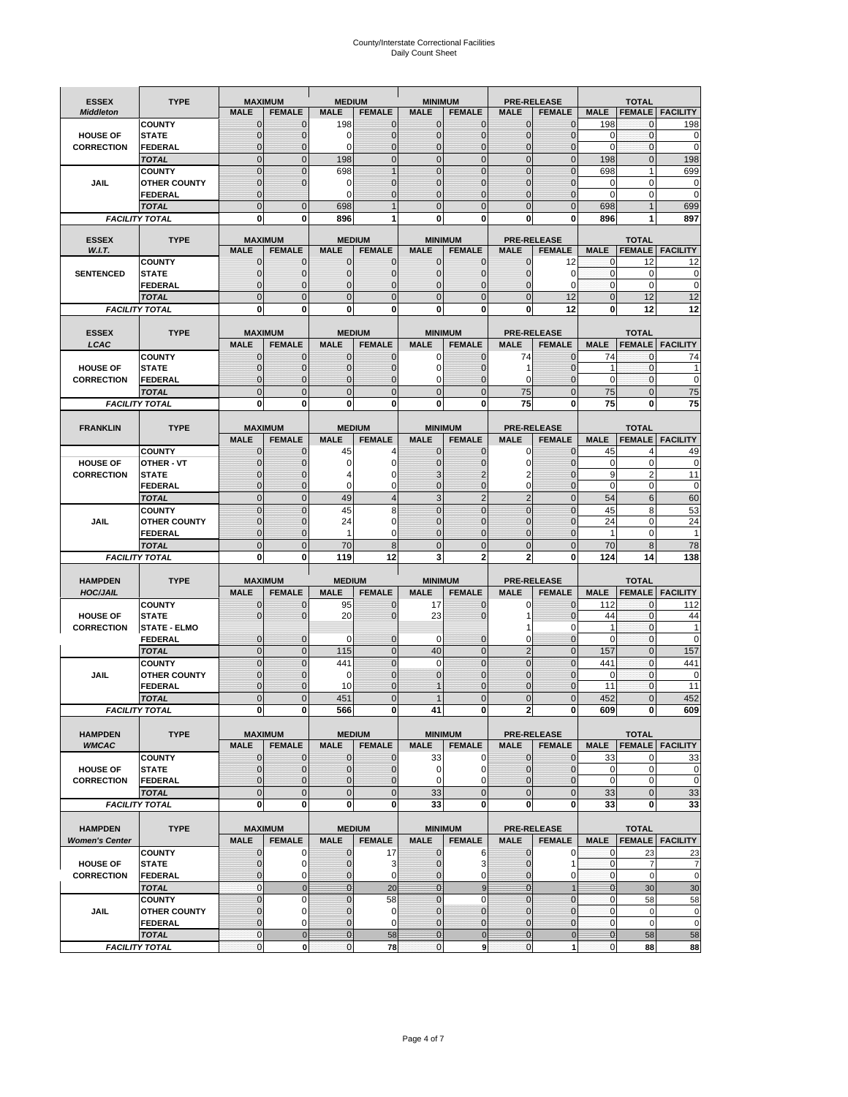# County/Interstate Correctional Facilities Daily Count Sheet

| <b>ESSEX</b>                         | <b>TYPE</b>                           |                                  | <b>MAXIMUM</b>                   | <b>MEDIUM</b>                    |                     | <b>MINIMUM</b>               |                                |                                  | <b>PRE-RELEASE</b>         |                            | <b>TOTAL</b>               |                          |
|--------------------------------------|---------------------------------------|----------------------------------|----------------------------------|----------------------------------|---------------------|------------------------------|--------------------------------|----------------------------------|----------------------------|----------------------------|----------------------------|--------------------------|
| <b>Middleton</b>                     |                                       | <b>MALE</b>                      | <b>FEMALE</b>                    | <b>MALE</b>                      | <b>FEMALE</b>       | <b>MALE</b>                  | <b>FEMALE</b>                  | MALE                             | <b>FEMALE</b>              | <b>MALE</b>                | <b>FEMALE</b>              | <b>FACILITY</b>          |
|                                      | <b>COUNTY</b>                         | 0                                | 0                                | 198                              | 0                   | $\mathbf 0$                  | $\mathbf{0}$                   | 0                                | $\Omega$                   | 198                        | $\mathbf 0$                | 198                      |
| <b>HOUSE OF</b>                      | <b>STATE</b>                          | 0                                | $\mathbf 0$                      | $\Omega$                         | 0                   | $\mathbf{0}$                 | $\Omega$                       | $\mathbf 0$                      | $\Omega$                   | $\Omega$                   | $\Omega$                   | 0                        |
| <b>CORRECTION</b>                    | <b>FEDERAL</b>                        | 0                                | $\mathbf 0$                      | 0                                | 0                   | $\mathbf{0}$                 | $\mathbf 0$                    | $\mathbf{0}$                     | $\mathbf 0$                | $\mathbf 0$                | $\mathbf{0}$               | $\mathbf 0$              |
|                                      | <b>TOTAL</b>                          | $\overline{0}$                   | $\overline{0}$                   | 198                              | $\mathbf 0$         | $\mathbf 0$                  | $\overline{0}$                 | $\mathbf 0$                      | $\Omega$                   | 198                        | $\mathbf{0}$               | 198                      |
|                                      | <b>COUNTY</b>                         | $\mathbf{0}$<br>$\mathbf 0$      | $\overline{0}$<br>$\overline{0}$ | 698                              | 1                   | $\mathbf{0}$<br>$\mathbf{0}$ | $\Omega$                       | $\mathbf 0$<br>$\mathbf 0$       | $\Omega$<br>ſ              | 698                        | 1<br>$\mathbf 0$           | 699                      |
| JAIL                                 | <b>OTHER COUNTY</b><br><b>FEDERAL</b> | $\mathbf{0}$                     |                                  | 0<br>$\Omega$                    | 0<br>$\Omega$       | $\mathbf{0}$                 | $\mathbf{0}$<br>$\Omega$       | $\mathbf{0}$                     | 0                          | 0<br>$\Omega$              | $\mathbf 0$                | $\mathbf 0$<br>0         |
|                                      | <b>TOTAL</b>                          | $\overline{0}$                   | $\mathbf 0$                      | 698                              |                     | $\Omega$                     | $\Omega$                       | $\overline{0}$                   | $\Omega$                   | 698                        |                            | 699                      |
|                                      | <b>FACILITY TOTAL</b>                 | 0                                | 0                                | 896                              |                     | $\bf{0}$                     | 0                              | 0                                | 0                          | 896                        |                            | 897                      |
|                                      |                                       |                                  |                                  |                                  |                     |                              |                                |                                  |                            |                            |                            |                          |
| <b>ESSEX</b>                         | <b>TYPE</b>                           |                                  | <b>MAXIMUM</b>                   |                                  | <b>MEDIUM</b>       |                              | <b>MINIMUM</b>                 |                                  | <b>PRE-RELEASE</b>         |                            | <b>TOTAL</b>               |                          |
| W.I.T.                               |                                       | <b>MALE</b>                      | <b>FEMALE</b>                    | <b>MALE</b>                      | <b>FEMALE</b>       | <b>MALE</b>                  | <b>FEMALE</b>                  | <b>MALE</b>                      | <b>FEMALE</b>              | <b>MALE</b>                | <b>FEMALE</b>              | <b>FACILITY</b>          |
| <b>SENTENCED</b>                     | <b>COUNTY</b><br><b>STATE</b>         | $\mathbf{0}$<br>0                | 0<br>$\mathbf 0$                 | $\mathbf 0$<br>$\mathbf{0}$      | 0<br>$\mathbf 0$    | $\mathbf 0$<br>$\mathbf{0}$  | $\mathbf{0}$<br>$\mathbf{0}$   | 0<br>$\mathbf{0}$                | 12<br>$\Omega$             | 0<br>$\mathbf 0$           | 12<br>$\mathbf 0$          | 12<br>0                  |
|                                      | <b>FEDERAL</b>                        | $\mathbf 0$                      | $\mathbf 0$                      | $\mathbf{0}$                     | 0                   | $\mathbf{0}$                 | 0                              | $\mathbf 0$                      | $\Omega$                   | $\mathbf{0}$               | $\Omega$                   | $\mathbf 0$              |
|                                      | <b>TOTAL</b>                          | $\overline{0}$                   | $\overline{0}$                   | $\mathbf 0$                      | $\overline{0}$      | $\mathbf{0}$                 | $\overline{0}$                 | $\overline{0}$                   | 12                         | $\mathbf{0}$               | 12                         | 12                       |
|                                      | <b>FACILITY TOTAL</b>                 | 0                                | 0                                | $\bf{0}$                         | O                   | $\bf{0}$                     | 0                              | 0                                | 12                         | $\bf{0}$                   | 12                         | 12                       |
|                                      |                                       |                                  |                                  |                                  |                     |                              |                                |                                  |                            |                            |                            |                          |
| <b>ESSEX</b>                         | <b>TYPE</b>                           |                                  | <b>MAXIMUM</b>                   |                                  | <b>MEDIUM</b>       |                              | <b>MINIMUM</b>                 |                                  | <b>PRE-RELEASE</b>         |                            | <b>TOTAL</b>               |                          |
| LCAC                                 |                                       | <b>MALE</b>                      | <b>FEMALE</b>                    | <b>MALE</b>                      | <b>FEMALE</b>       | <b>MALE</b>                  | <b>FEMALE</b>                  | <b>MALE</b>                      | <b>FEMALE</b>              | <b>MALE</b>                |                            | <b>FEMALE   FACILITY</b> |
|                                      | <b>COUNTY</b>                         | 0                                | 0                                | $\mathbf{0}$                     | 0                   | 0                            | $\mathbf{0}$                   | 74                               | $\Omega$                   | 74                         | $\Omega$                   | 74                       |
| <b>HOUSE OF</b>                      | <b>STATE</b>                          | 0                                | $\overline{0}$                   | $\mathbf 0$                      | 0                   | $\mathbf 0$                  | $\Omega$                       | 1                                | $\Omega$                   | 1                          | $\mathbf{0}$               |                          |
| <b>CORRECTION</b>                    | FEDERAL<br><b>TOTAL</b>               | 0<br>$\Omega$                    | 0<br>$\overline{0}$              | $\mathbf{0}$<br>$\mathbf 0$      | 0<br>$\overline{0}$ | 0<br>$\mathbf{0}$            | $\Omega$<br>$\Omega$           | 0<br>75                          | $\mathbf 0$<br>$\Omega$    | $\mathbf 0$<br>75          | $\mathbf 0$<br>$\Omega$    | $\mathbf 0$<br>75        |
|                                      | <b>FACILITY TOTAL</b>                 | 0                                | 0                                | 0                                | 0                   | $\bf{0}$                     | 0                              | 75                               | $\bf{0}$                   | 75                         | 0                          | 75                       |
|                                      |                                       |                                  |                                  |                                  |                     |                              |                                |                                  |                            |                            |                            |                          |
| <b>FRANKLIN</b>                      | <b>TYPE</b>                           |                                  | <b>MAXIMUM</b>                   |                                  | <b>MEDIUM</b>       |                              | <b>MINIMUM</b>                 |                                  | <b>PRE-RELEASE</b>         |                            | <b>TOTAL</b>               |                          |
|                                      |                                       | <b>MALE</b>                      | <b>FEMALE</b>                    | <b>MALE</b>                      | <b>FEMALE</b>       | <b>MALE</b>                  | <b>FEMALE</b>                  | <b>MALE</b>                      | <b>FEMALE</b>              | <b>MALE</b>                | <b>FEMALE</b>              | <b>FACILITY</b>          |
|                                      | <b>COUNTY</b>                         | $\mathbf{0}$                     | 0                                | 45                               | 4                   | $\mathbf{0}$                 | 0                              | 0                                | $\Omega$                   | 45                         | $\overline{4}$             | 49                       |
| <b>HOUSE OF</b>                      | <b>OTHER - VT</b>                     | 0                                | $\overline{0}$                   | 0                                | 0                   | $\mathbf{0}$                 | 0                              | $\mathbf 0$                      | $\Omega$                   | $\mathbf 0$                | $\mathbf 0$                | $\mathbf 0$              |
| <b>CORRECTION</b>                    | <b>STATE</b>                          | $\Omega$                         | $\mathbf 0$                      | 4                                | 0                   | 3                            | 2                              | 2                                | $\sqrt{ }$                 | 9                          | $\overline{2}$             | 11                       |
|                                      | FEDERAL                               | $\mathbf{0}$                     | $\overline{0}$                   | $\mathbf 0$                      | 0                   | $\mathbf{0}$                 | $\mathbf{0}$                   | 0                                | $\overline{0}$             | $\mathbf 0$                | $\mathbf 0$                | $\mathbf 0$              |
|                                      | <b>TOTAL</b>                          | $\overline{0}$                   | $\mathbf{0}$                     | 49                               | $\overline{4}$      | 3                            | $\overline{2}$                 | $\overline{2}$                   | $\overline{0}$             | 54                         | 6                          | 60                       |
|                                      | <b>COUNTY</b>                         | $\Omega$                         | $\overline{0}$                   | 45                               | 8                   | $\Omega$                     | $\Omega$                       | $\mathbf 0$                      | $\Omega$                   | 45                         | 8                          | 53                       |
| JAIL                                 | <b>OTHER COUNTY</b>                   | 0                                | $\overline{0}$                   | 24                               | 0                   | $\Omega$                     | $\Omega$                       | $\mathbf 0$                      | $\sqrt{ }$                 | 24                         | $\mathbf 0$                | 24                       |
|                                      | <b>FEDERAL</b><br><b>TOTAL</b>        | 0<br>$\mathbf{0}$                | 0<br>$\overline{0}$              | 1<br>70                          | 0<br>8              | $\mathbf{0}$<br>$\mathbf{0}$ | $\mathbf 0$<br>$\Omega$        | 0<br>$\overline{0}$              | $\mathcal{C}$<br>$\Omega$  | 1<br>70                    | $\mathbf 0$<br>8           | 1<br>78                  |
|                                      | <b>FACILITY TOTAL</b>                 | 0                                | 0                                | 119                              | 12                  | 3                            | $\overline{2}$                 | $\overline{2}$                   | 0                          | 124                        | 14                         | 138                      |
|                                      |                                       |                                  |                                  |                                  |                     |                              |                                |                                  |                            |                            |                            |                          |
| <b>HAMPDEN</b>                       | <b>TYPE</b>                           |                                  | <b>MAXIMUM</b>                   | <b>MEDIUM</b>                    |                     | <b>MINIMUM</b>               |                                |                                  | <b>PRE-RELEASE</b>         |                            | <b>TOTAL</b>               |                          |
| <b>HOC/JAIL</b>                      |                                       | <b>MALE</b>                      | <b>FEMALE</b>                    | <b>MALE</b>                      | <b>FEMALE</b>       | <b>MALE</b>                  | <b>FEMALE</b>                  | <b>MALE</b>                      | <b>FEMALE</b>              | <b>MALE</b>                | <b>FEMALE</b>              | <b>FACILITY</b>          |
|                                      | <b>COUNTY</b>                         | 0                                | 0                                | 95                               | 0                   | 17                           | 0                              | 0                                | $\mathbf 0$                | 112                        | $\mathbf{0}$               | 112                      |
| <b>HOUSE OF</b>                      | <b>STATE</b>                          | 0                                | $\overline{0}$                   | 20                               | 0                   | 23                           | $\Omega$                       | 1                                | $\Omega$                   | 44                         | $\Omega$                   | 44                       |
| <b>CORRECTION</b>                    | <b>STATE - ELMO</b>                   |                                  |                                  |                                  |                     |                              |                                | 1                                | 0                          | 1                          | $\mathbf{0}$               | 1                        |
|                                      | <b>FEDERAL</b>                        | $\mathbf{0}$                     | $\mathbf 0$                      | $\Omega$                         | 0                   | 0                            | $\mathbf{0}$                   | 0                                | 0                          | $\Omega$                   | $\Omega$                   | 0                        |
|                                      | <b>TOTAL</b><br><b>COUNTY</b>         | $\overline{0}$<br>$\overline{0}$ | $\overline{0}$<br>$\overline{0}$ | 115<br>441                       | $\overline{0}$<br>0 | 40<br>$\mathbf 0$            | $\mathbf{0}$<br>$\overline{0}$ | $\overline{2}$<br>$\overline{0}$ | $\Omega$<br>$\overline{0}$ | 157<br>441                 | $\Omega$<br>$\mathbf{0}$   | 157<br>441               |
| <b>JAIL</b>                          | <b>OTHER COUNTY</b>                   | 0                                | $\mathbf 0$                      | 0                                | 0                   | $\mathbf{0}$                 | $\Omega$                       | $\mathbf 0$                      | $\Omega$                   | $\mathbf 0$                | $\mathbf 0$                | 0                        |
|                                      | <b>FEDERAL</b>                        | $\Omega$                         | $\mathbf 0$                      | 10                               | $\Omega$            | $\mathbf 1$                  | $\Omega$                       | $\mathbf 0$                      | $\Omega$                   | 11                         | $\Omega$                   | 11                       |
|                                      | <b>TOTAL</b>                          | $\overline{0}$                   | $\overline{0}$                   | 451                              | $\Omega$            | $\mathbf{1}$                 | $\overline{0}$                 | $\overline{0}$                   | $\Omega$                   | 452                        | U                          | 452                      |
|                                      | <b>FACILITY TOTAL</b>                 | $\mathbf{0}$                     | $\boldsymbol{0}$                 | 566                              | 0                   | 41                           | 0                              | 2                                | 0                          | 609                        | $\mathbf{0}$               | 609                      |
|                                      |                                       |                                  |                                  |                                  |                     |                              |                                |                                  |                            |                            |                            |                          |
| <b>HAMPDEN</b>                       | <b>TYPE</b>                           |                                  | <b>MAXIMUM</b>                   |                                  | <b>MEDIUM</b>       |                              | <b>MINIMUM</b>                 |                                  | <b>PRE-RELEASE</b>         |                            | <b>TOTAL</b>               |                          |
| <b>WMCAC</b>                         |                                       | <b>MALE</b>                      | <b>FEMALE</b>                    | <b>MALE</b>                      | <b>FEMALE</b>       | <b>MALE</b>                  | <b>FEMALE</b>                  | <b>MALE</b>                      | <b>FEMALE</b>              | <b>MALE</b>                |                            | <b>FEMALE   FACILITY</b> |
|                                      | <b>COUNTY</b>                         | $\mathbf 0$                      | $\mathbf{0}$                     | $\mathbf 0$                      | 0                   | 33                           | 0                              | $\mathbf 0$                      | $\mathbf 0$                | 33                         | 0                          | 33                       |
| <b>HOUSE OF</b><br><b>CORRECTION</b> | <b>STATE</b><br><b>FEDERAL</b>        | $\mathbf{0}$<br>$\mathbf{0}$     | $\mathbf{0}$<br>0                | $\overline{0}$<br>$\overline{0}$ | 0<br>0              | $\mathbf 0$<br>$\mathbf 0$   | 0<br>$\Omega$                  | $\mathbf{0}$<br>0                | 0<br>0                     | $\mathbf 0$<br>$\mathbf 0$ | $\mathbf 0$<br>$\mathbf 0$ | 0<br>$\mathbf 0$         |
|                                      | <b>TOTAL</b>                          | $\mathbf{0}$                     | $\overline{0}$                   | $\overline{0}$                   | $\overline{0}$      | 33                           | $\overline{0}$                 | $\mathbf 0$                      | $\mathbf 0$                | 33                         | $\mathbf{0}$               | 33                       |
|                                      | <b>FACILITY TOTAL</b>                 | $\bf{0}$                         | $\mathbf 0$                      | $\mathbf{0}$                     | 0                   | 33                           | 0                              | 0                                | $\bf{0}$                   | 33                         | 0                          | 33                       |
|                                      |                                       |                                  |                                  |                                  |                     |                              |                                |                                  |                            |                            |                            |                          |
| <b>HAMPDEN</b>                       | <b>TYPE</b>                           |                                  | <b>MAXIMUM</b>                   |                                  | <b>MEDIUM</b>       |                              | <b>MINIMUM</b>                 |                                  | <b>PRE-RELEASE</b>         |                            | <b>TOTAL</b>               |                          |
| <b>Women's Center</b>                |                                       | <b>MALE</b>                      | <b>FEMALE</b>                    | <b>MALE</b>                      | <b>FEMALE</b>       | <b>MALE</b>                  | <b>FEMALE</b>                  | <b>MALE</b>                      | <b>FEMALE</b>              | <b>MALE</b>                |                            | <b>FEMALE</b> FACILITY   |
|                                      | <b>COUNTY</b>                         | 0                                | 0                                | $\mathbf 0$                      | 17                  | $\mathbf 0$                  | 6                              | 0                                | 0                          | 0                          | 23                         | 23                       |
| <b>HOUSE OF</b>                      | <b>STATE</b>                          | $\mathbf{0}$                     | $\mathbf 0$                      | $\mathbf{0}$                     | 3                   | $\mathbf{0}$                 | 3                              | $\mathbf 0$                      | 1                          | $\mathbf 0$                | $\overline{7}$             | $\overline{7}$           |
| <b>CORRECTION</b>                    | <b>FEDERAL</b>                        | 0                                | 0                                | 0                                | 0                   | $\mathbf{0}$                 | 0                              | $\mathbf{0}$                     | 0                          | $\overline{0}$             | $\mathbf 0$                | $\mathbf 0$              |
|                                      | <b>TOTAL</b>                          | $\mathbf{0}$                     | $\mathbf 0$                      | $\overline{0}$                   | 20                  | $\mathbf{0}$                 | $\boldsymbol{9}$               | $\mathbf{0}$                     |                            | $\mathbf{0}$               | 30                         | 30                       |
|                                      | <b>COUNTY</b>                         | $\overline{0}$                   | $\mathbf 0$                      | $\mathbf{0}$                     | 58                  | $\mathbf{0}$                 | $\mathbf 0$                    | $\overline{0}$                   | $\overline{0}$<br>$\Omega$ | $\mathbf{0}$               | 58                         | 58                       |
| <b>JAIL</b>                          | <b>OTHER COUNTY</b><br><b>FEDERAL</b> | 0<br>$\overline{0}$              | $\mathbf 0$<br>$\mathbf 0$       | $\mathbf 0$<br>$\mathbf 0$       | 0<br>0              | $\mathbf 0$<br>$\mathbf 0$   | $\mathbf{0}$<br>$\mathbf{0}$   | $\mathbf{0}$<br>$\mathbf 0$      | $\overline{0}$             | $\mathbf 0$<br>$\mathbf 0$ | $\mathbf 0$<br>$\mathbf 0$ | 0<br>$\mathbf 0$         |
|                                      | <b>TOTAL</b>                          | $\mathbf 0$                      | $\mathbf 0$                      | $\overline{0}$                   | 58                  | $\overline{0}$               | $\mathbf 0$                    | $\mathbf{0}$                     | $\mathbf 0$                | $\mathbf{0}$               | 58                         | 58                       |
|                                      | <b>FACILITY TOTAL</b>                 | $\pmb{0}$                        | $\mathbf 0$                      | $\mathbf{O}$                     | 78                  | $\mathbf{0}$                 | 9                              | $\mathbf 0$                      | 1                          | $\overline{0}$             | 88                         | 88                       |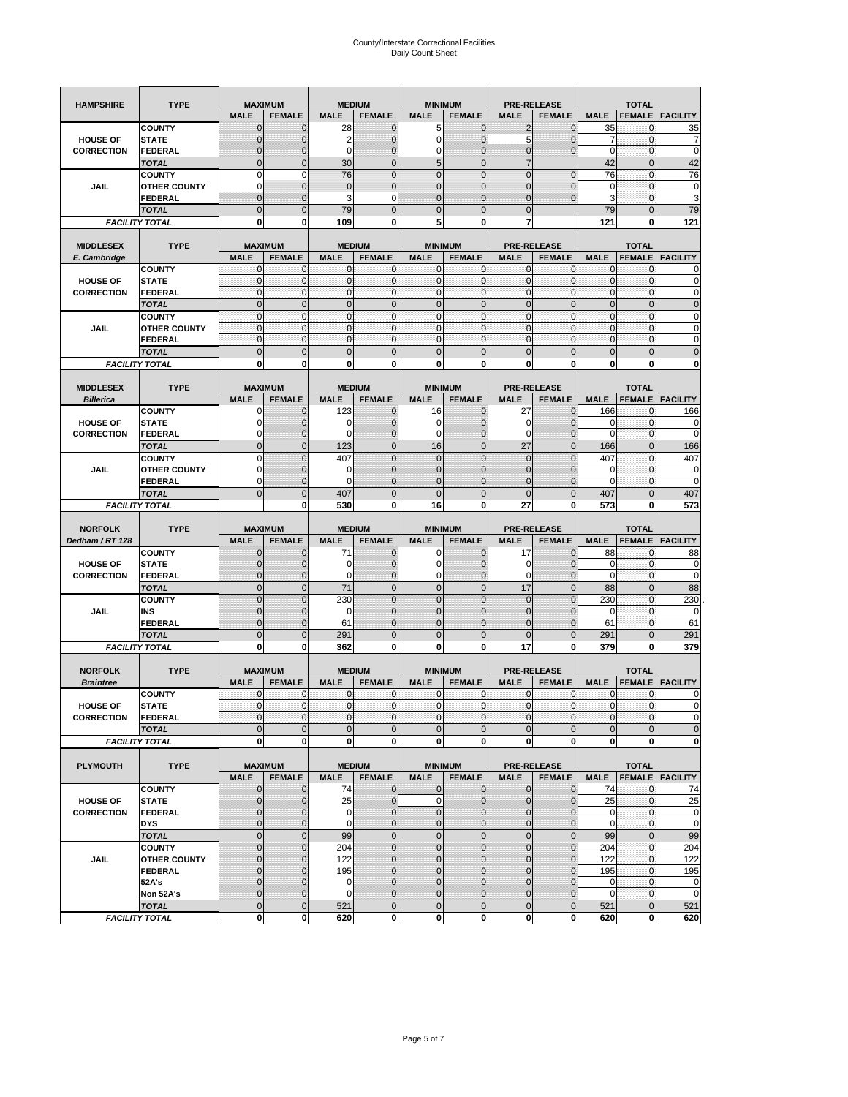| <b>HAMPSHIRE</b>                     | <b>TYPE</b>                           | <b>MAXIMUM</b>             |                          | <b>MEDIUM</b>               |                  | <b>MINIMUM</b>             |                              | <b>PRE-RELEASE</b> |                          | <b>TOTAL</b>                |                          |                                                                                                                                                          |  |
|--------------------------------------|---------------------------------------|----------------------------|--------------------------|-----------------------------|------------------|----------------------------|------------------------------|--------------------|--------------------------|-----------------------------|--------------------------|----------------------------------------------------------------------------------------------------------------------------------------------------------|--|
|                                      |                                       | <b>MALE</b>                | <b>FEMALE</b>            | <b>MALE</b>                 | <b>FEMALE</b>    | <b>MALE</b>                | <b>FEMALE</b>                | <b>MALE</b>        | <b>FEMALE</b>            | <b>MALE</b>                 | <b>FEMALE</b>            | <b>FACILITY</b>                                                                                                                                          |  |
|                                      | <b>COUNTY</b>                         | $\mathbf 0$                | $\mathbf 0$              | 28                          | $\mathbf 0$      | 5                          | $\mathbf 0$                  | 2                  | $\mathbf 0$              | 35                          | $\mathbf{0}$             | 35                                                                                                                                                       |  |
| <b>HOUSE OF</b>                      | <b>STATE</b>                          | $\mathbf{0}$               | $\overline{0}$           | $\overline{2}$              | $\overline{0}$   | $\mathbf 0$                | $\overline{0}$               | 5                  | $\overline{0}$           | $\overline{7}$              | $\mathbf 0$              | 7                                                                                                                                                        |  |
| <b>CORRECTION</b>                    | <b>FEDERAL</b>                        | $\mathbf{0}$               | 0                        | $\mathbf 0$                 | $\overline{0}$   | 0                          | $\overline{0}$               | 0                  | $\overline{0}$           | $\pmb{0}$                   | $\bf{0}$                 | $\mathbf 0$                                                                                                                                              |  |
|                                      | <b>TOTAL</b>                          | $\mathbf{0}$               | $\overline{0}$           | 30                          | $\mathbf 0$      | 5                          | $\mathbf{0}$                 | $\overline{7}$     |                          | 42                          | $\mathbf{0}$             | 42                                                                                                                                                       |  |
|                                      | <b>COUNTY</b>                         | $\mathbf 0$                | $\mathbf 0$              | 76                          | $\overline{0}$   | $\overline{0}$             | $\overline{0}$               | $\mathbf 0$        | $\overline{0}$           | 76                          | $\mathbf{0}$             | 76                                                                                                                                                       |  |
| JAIL                                 | <b>OTHER COUNTY</b>                   | $\Omega$                   | $\mathbf{0}$             | $\mathbf 0$                 | $\mathbf 0$      | $\mathbf{0}$               | $\mathbf 0$                  | 0                  | $\mathbf 0$              | 0                           | $\mathbf 0$              | 0                                                                                                                                                        |  |
|                                      | FEDERAL                               | $\mathbf{0}$               | $\overline{0}$           | 3                           | 0                | $\overline{0}$             | $\mathbf{0}$                 | $\overline{0}$     | $\mathbf 0$              | 3                           | $\mathbf{0}$             | 3                                                                                                                                                        |  |
|                                      | <b>TOTAL</b>                          | $\mathbf{0}$               | $\mathbf 0$              | 79                          | $\mathbf 0$      | $\mathbf 0$                | $\mathbf 0$                  | $\mathbf{0}$       |                          | 79                          | $\mathbf 0$              | 79                                                                                                                                                       |  |
|                                      | <b>FACILITY TOTAL</b>                 | 0                          | 0                        | 109                         | $\bf{0}$         | 5                          | 0                            | 7                  |                          | 121                         | 0                        | 121                                                                                                                                                      |  |
|                                      |                                       |                            |                          |                             |                  |                            |                              |                    |                          |                             |                          |                                                                                                                                                          |  |
| <b>MIDDLESEX</b>                     | <b>TYPE</b>                           |                            | <b>MAXIMUM</b>           |                             | <b>MEDIUM</b>    |                            | <b>MINIMUM</b>               |                    | <b>PRE-RELEASE</b>       |                             | <b>TOTAL</b>             |                                                                                                                                                          |  |
| E. Cambridge                         |                                       | <b>MALE</b>                | <b>FEMALE</b>            | <b>MALE</b>                 | <b>FEMALE</b>    | <b>MALE</b>                | <b>FEMALE</b>                | <b>MALE</b>        | <b>FEMALE</b>            | <b>MALE</b>                 | <b>FEMALE</b>            | <b>FACILITY</b>                                                                                                                                          |  |
|                                      | <b>COUNTY</b>                         | 0<br>$\pmb{0}$             | 0<br>0                   | $\mathbf 0$<br>$\mathbf{0}$ | 0<br>$\mathbf 0$ | 0<br>$\mathbf 0$           | $\mathbf{0}$<br>$\mathbf 0$  | 0<br>$\mathbf 0$   | 0<br>$\mathbf 0$         | 0<br>$\pmb{0}$              | 0<br>$\bf{0}$            | 0<br>0                                                                                                                                                   |  |
| <b>HOUSE OF</b><br><b>CORRECTION</b> | <b>STATE</b><br><b>FEDERAL</b>        | $\mathbf{0}$               | $\mathbf 0$              | $\mathbf 0$                 | $\mathbf 0$      | $\mathbf 0$                | $\mathbf{0}$                 | $\mathbf 0$        | $\mathbf 0$              | $\mathbf{0}$                | $\mathbf 0$              | $\mathbf 0$                                                                                                                                              |  |
|                                      |                                       | $\Omega$                   | $\mathbf 0$              | $\mathbf{0}$                | $\mathbf 0$      | $\mathbf 0$                | $\mathbf 0$                  | $\mathbf{0}$       | $\overline{0}$           | $\pmb{0}$                   | $\mathbf{0}$             | $\mathbf 0$                                                                                                                                              |  |
|                                      | <b>TOTAL</b><br><b>COUNTY</b>         | $\mathbf{0}$               | $\mathbf{0}$             | $\mathbf{0}$                | $\mathbf{0}$     | $\mathbf{0}$               | $\mathbf{0}$                 | $\mathbf{0}$       | $\mathbf 0$              | $\mathbf{0}$                | $\mathbf{0}$             | 0                                                                                                                                                        |  |
| JAIL                                 | <b>OTHER COUNTY</b>                   | 0                          | $\mathbf 0$              | $\mathbf 0$                 | 0                | $\mathbf{0}$               | $\overline{0}$               | $\mathbf{0}$       | 0                        | $\pmb{0}$                   | 0                        | 0                                                                                                                                                        |  |
|                                      | <b>FEDERAL</b>                        | $\mathbf{0}$               | $\mathbf{0}$             | $\mathbf 0$                 | $\mathbf 0$      | $\mathbf 0$                | $\overline{0}$               | $\mathbf{0}$       | $\mathbf 0$              | $\mathbf{0}$                | $\mathbf{0}$             | 0                                                                                                                                                        |  |
|                                      | <b>TOTAL</b>                          | $\mathbf 0$                | $\overline{0}$           | $\overline{0}$              | $\overline{0}$   | $\overline{0}$             | $\overline{0}$               | $\overline{0}$     | $\overline{0}$           | $\mathbf{0}$                | $\overline{0}$           | $\overline{0}$                                                                                                                                           |  |
|                                      | <b>FACILITY TOTAL</b>                 | 0                          | 0                        | 0                           | 0                | 0                          | 0                            | 0                  | 0                        | 0                           | 0                        | 0                                                                                                                                                        |  |
|                                      |                                       |                            |                          |                             |                  |                            |                              |                    |                          |                             |                          |                                                                                                                                                          |  |
| <b>MIDDLESEX</b>                     | <b>TYPE</b>                           |                            | <b>MAXIMUM</b>           |                             | <b>MEDIUM</b>    |                            | <b>MINIMUM</b>               |                    | <b>PRE-RELEASE</b>       |                             | <b>TOTAL</b>             |                                                                                                                                                          |  |
| <b>Billerica</b>                     |                                       | <b>MALE</b>                | <b>FEMALE</b>            | <b>MALE</b>                 | <b>FEMALE</b>    | <b>MALE</b>                | <b>FEMALE</b>                | <b>MALE</b>        | <b>FEMALE</b>            | <b>MALE</b>                 | <b>FEMALE</b>            | <b>FACILITY</b>                                                                                                                                          |  |
|                                      | <b>COUNTY</b>                         | 0                          | $\mathbf 0$              | 123                         | 0                | 16                         | $\mathbf{0}$                 | 27                 | $\mathbf 0$              | 166                         | 0                        | 166                                                                                                                                                      |  |
| <b>HOUSE OF</b>                      | <b>STATE</b>                          | 0                          | $\mathbf 0$              | 0                           | $\mathbf 0$      | 0                          | 0                            | 0                  | $\mathbf 0$              | 0                           | $\mathbf 0$              | 0                                                                                                                                                        |  |
| <b>CORRECTION</b>                    | <b>FEDERAL</b>                        | 0                          | $\mathbf{0}$             | 0                           | 0                | 0                          | $\mathbf{0}$                 | 0                  | $\mathbf 0$              | 0                           | 0                        | 0                                                                                                                                                        |  |
|                                      | <b>TOTAL</b>                          | $\mathbf 0$                | $\mathbf 0$              | 123                         | $\mathbf 0$      | 16                         | $\overline{0}$               | 27                 | $\overline{0}$           | 166                         | $\mathbf{0}$             | 166                                                                                                                                                      |  |
|                                      | <b>COUNTY</b>                         | $\Omega$                   | $\overline{0}$           | 407                         | $\Omega$         | $\overline{0}$             | $\Omega$                     | $\mathbf{0}$       | $\Omega$                 | 407                         | $\mathbf 0$              | 407                                                                                                                                                      |  |
| JAIL                                 | <b>OTHER COUNTY</b>                   | 0                          | 0                        | 0                           | $\mathbf{0}$     | $\mathbf 0$                | $\mathbf{0}$                 | $\mathbf{0}$       | $\overline{0}$           | 0                           | 0                        | 0                                                                                                                                                        |  |
|                                      | <b>FEDERAL</b>                        | $\Omega$                   | $\mathbf 0$              | $\Omega$                    | $\mathbf 0$      | $\overline{0}$             | $\overline{0}$               | 0                  | $\mathbf 0$              | $\Omega$                    | $\mathbf 0$              | $\mathbf 0$                                                                                                                                              |  |
|                                      | <b>TOTAL</b>                          | $\mathbf{0}$               | $\overline{0}$           | 407                         | $\overline{0}$   | $\overline{0}$             | $\overline{0}$               | $\overline{0}$     | $\overline{0}$           | 407                         | $\overline{0}$           | 407                                                                                                                                                      |  |
|                                      | <b>FACILITY TOTAL</b>                 |                            | 0                        | 530                         | 0                | 16                         | $\mathbf 0$                  | 27                 | 0                        | 573                         | 0                        | 573                                                                                                                                                      |  |
|                                      |                                       |                            |                          |                             |                  |                            |                              |                    |                          |                             |                          |                                                                                                                                                          |  |
|                                      |                                       |                            |                          |                             |                  |                            |                              |                    |                          |                             |                          |                                                                                                                                                          |  |
| <b>NORFOLK</b>                       | <b>TYPE</b>                           |                            | <b>MAXIMUM</b>           |                             | <b>MEDIUM</b>    |                            | <b>MINIMUM</b>               |                    | <b>PRE-RELEASE</b>       |                             | <b>TOTAL</b>             |                                                                                                                                                          |  |
| Dedham / RT 128                      |                                       | <b>MALE</b>                | <b>FEMALE</b>            | <b>MALE</b>                 | <b>FEMALE</b>    | <b>MALE</b>                | <b>FEMALE</b>                | <b>MALE</b>        | <b>FEMALE</b>            | <b>MALE</b>                 | <b>FEMALE</b>            | <b>FACILITY</b>                                                                                                                                          |  |
|                                      | <b>COUNTY</b>                         | 0                          | $\mathbf 0$              | 71                          | 0                | 0                          | $\mathbf{0}$                 | 17                 | 0                        | 88                          | 0                        | 88                                                                                                                                                       |  |
| <b>HOUSE OF</b>                      | <b>STATE</b>                          | $\mathbf{0}$               | $\mathbf 0$              | 0                           | $\mathbf{0}$     | 0                          | $\mathbf{0}$                 | 0                  | $\mathbf 0$              | 0                           | $\mathbf{0}$             | 0                                                                                                                                                        |  |
| <b>CORRECTION</b>                    | FEDERAL                               | $\mathbf{0}$               | 0                        | 0                           | 0                | 0                          | $\mathbf 0$                  | 0                  | 0                        | $\mathbf 0$                 | $\mathbf{0}$             | $\mathbf 0$                                                                                                                                              |  |
|                                      | <b>TOTAL</b>                          | $\pmb{0}$                  | $\mathbf 0$              | 71                          | $\mathbf 0$      | $\mathbf 0$                | $\overline{0}$               | 17                 | $\mathbf 0$              | 88                          | $\mathbf 0$              | 88                                                                                                                                                       |  |
|                                      | <b>COUNTY</b>                         | $\Omega$                   | $\overline{0}$           | 230                         | $\overline{0}$   | $\overline{0}$             | $\Omega$                     | $\mathbf 0$        | $\overline{0}$           | 230                         | $\mathbf 0$              | 230                                                                                                                                                      |  |
| JAIL                                 | INS                                   | $\mathbf{0}$               | 0                        | 0                           | $\mathbf{0}$     | $\mathbf 0$                | $\mathbf{0}$                 | 0                  | $\mathbf 0$              | 0                           | 0                        |                                                                                                                                                          |  |
|                                      | FEDERAL                               | $\mathbf{0}$               | $\mathbf 0$              | 61                          | $\mathbf 0$      | $\overline{0}$             | $\Omega$                     | $\mathbf 0$        | $\mathbf 0$              | 61                          | $\mathbf 0$              | 61                                                                                                                                                       |  |
|                                      | <b>TOTAL</b>                          | $\mathbf 0$                | $\overline{0}$           | 291                         | $\overline{0}$   | $\overline{0}$             | $\overline{0}$               | $\overline{0}$     | $\overline{0}$           | 291                         | $\mathbf{0}$             | 291                                                                                                                                                      |  |
|                                      | <b>FACILITY TOTAL</b>                 | 0                          | 0                        | 362                         | 0                | 0                          | 0                            | 17                 | 0                        | 379                         | 0                        | 379                                                                                                                                                      |  |
|                                      |                                       |                            |                          |                             |                  |                            |                              |                    |                          |                             |                          |                                                                                                                                                          |  |
| <b>NORFOLK</b>                       | <b>TYPE</b>                           |                            | <b>MAXIMUM</b>           |                             | <b>MEDIUM</b>    |                            | <b>MINIMUM</b>               |                    | <b>PRE-RELEASE</b>       |                             | <b>TOTAL</b>             |                                                                                                                                                          |  |
| <b>Braintree</b>                     |                                       | <b>MALE</b>                | <b>FEMALE</b>            | <b>MALE</b>                 | <b>FEMALE</b>    | <b>MALE</b>                | <b>FEMALE</b>                | <b>MALE</b>        | <b>FEMALE</b>            | <b>MALE</b>                 | <b>FEMALE</b>            | <b>FACILITY</b>                                                                                                                                          |  |
|                                      | <b>COUNTY</b>                         | $\mathbf{0}$<br>$\Omega$   | $\mathbf{0}$<br>$\Omega$ | $\mathbf 0$<br>$\Omega$     | 0                | 0<br>$\Omega$              | $\mathbf{0}$<br>$\Omega$     | 0                  | $\mathbf{0}$<br>$\Omega$ | $\mathbf 0$<br>$\Omega$     | 0<br>$\Omega$            | 0                                                                                                                                                        |  |
| <b>HOUSE OF</b>                      | <b>STATE</b>                          |                            |                          |                             | $\overline{0}$   |                            |                              | $\mathbf{0}$       |                          |                             |                          |                                                                                                                                                          |  |
| <b>CORRECTION</b>                    | FEDERAL                               | $\mathbf 0$                | 0<br>$\overline{0}$      | $\mathbf 0$<br>$\mathbf{0}$ | $\mathbf 0$      | $\mathbf 0$<br>$\mathbf 0$ | $\overline{0}$               | $\mathbf 0$        | $\mathbf 0$              | $\overline{0}$              | $\mathbf 0$              |                                                                                                                                                          |  |
|                                      | <b>TOTAL</b><br><b>FACILITY TOTAL</b> | $\mathbf 0$<br>$\mathbf 0$ | 0                        | $\mathbf{0}$                | $\mathbf 0$<br>0 | $\mathbf 0$                | $\mathbf 0$<br><sub>0</sub>  | $\mathbf 0$<br>0   | $\mathbf 0$<br>0         | $\mathbf 0$<br>$\mathbf{0}$ | $\pmb{0}$<br>$\mathbf 0$ |                                                                                                                                                          |  |
|                                      |                                       |                            |                          |                             |                  |                            |                              |                    |                          |                             |                          |                                                                                                                                                          |  |
| <b>PLYMOUTH</b>                      | <b>TYPE</b>                           |                            | <b>MAXIMUM</b>           |                             | <b>MEDIUM</b>    |                            | <b>MINIMUM</b>               |                    | <b>PRE-RELEASE</b>       |                             | <b>TOTAL</b>             |                                                                                                                                                          |  |
|                                      |                                       | <b>MALE</b>                | <b>FEMALE</b>            | <b>MALE</b>                 | <b>FEMALE</b>    | <b>MALE</b>                | <b>FEMALE</b>                | <b>MALE</b>        | <b>FEMALE</b>            | <b>MALE</b>                 |                          | <b>FEMALE</b>   FACILITY                                                                                                                                 |  |
|                                      | <b>COUNTY</b>                         | $\mathbf{0}$               | 0                        | 74                          | $\mathbf{0}$     | 0                          | $\mathbf{O}$                 | $\mathbf 0$        | 0                        | 74                          | $\mathbf 0$              |                                                                                                                                                          |  |
| <b>HOUSE OF</b>                      | <b>STATE</b>                          | $\mathbf{0}$               | $\mathbf 0$              | 25                          | $\mathbf 0$      | $\mathbf 0$                | $\mathbf{0}$                 | $\mathbf{0}$       | $\overline{0}$           | 25                          | $\pmb{0}$                |                                                                                                                                                          |  |
| <b>CORRECTION</b>                    | <b>FEDERAL</b>                        | $\mathbf 0$                | $\mathbf 0$              | 0                           | $\pmb{0}$        | $\mathbf 0$                | $\mathbf{0}$                 | 0                  | $\mathbf 0$              | $\mathbf 0$                 | $\mathbf 0$              |                                                                                                                                                          |  |
|                                      | <b>DYS</b>                            | $\mathbf{0}$               | $\mathbf 0$              | 0                           | $\mathbf{0}$     | $\mathbf 0$                | $\mathbf{0}$                 | $\mathbf 0$        | $\overline{0}$           | $\mathbf 0$                 | $\Omega$                 |                                                                                                                                                          |  |
|                                      | <b>TOTAL</b>                          | $\mathbf 0$                | $\mathbf 0$              | 99                          | $\mathbf 0$      | $\mathbf 0$                | $\mathbf 0$                  | $\mathbf 0$        | $\mathsf 0$              | 99                          | $\mathbf 0$              |                                                                                                                                                          |  |
|                                      | <b>COUNTY</b>                         | $\mathbf 0$                | $\mathbf 0$              | 204                         | $\mathbf 0$      | $\mathbf 0$                | $\overline{0}$               | $\mathbf 0$        | $\mathbf{0}$             | 204                         | $\mathbf{O}$             | 204                                                                                                                                                      |  |
| JAIL                                 | <b>OTHER COUNTY</b>                   | $\mathbf{0}$               | $\mathbf{0}$             | 122                         | 0                | $\mathbf 0$                | $\mathbf{0}$                 | 0                  | $\mathbf{0}$             | 122                         | $\mathbf 0$              | 122                                                                                                                                                      |  |
|                                      | <b>FEDERAL</b>                        | $\mathbf{0}$               | $\mathbf{0}$             | 195                         | 0                | $\mathbf 0$                | $\overline{0}$               | $\mathbf 0$        | $\overline{0}$           | 195                         | $\mathbf 0$              |                                                                                                                                                          |  |
|                                      | 52A's                                 | $\mathbf{0}$               | $\mathbf{0}$             | 0                           | $\mathbf{0}$     | $\mathbf{0}$               | $\overline{0}$               | 0                  | $\mathbf 0$              | $\mathbf 0$                 | $\mathbf{O}$             |                                                                                                                                                          |  |
|                                      | Non 52A's                             | $\mathbf{0}$               | $\mathbf{0}$             | $\mathbf{0}$                | $\mathbf{0}$     | $\mathbf 0$                | $\overline{0}$               | $\mathbf 0$        | 0                        | $\mathbf 0$                 | $\mathbf 0$              |                                                                                                                                                          |  |
|                                      | <b>TOTAL</b><br><b>FACILITY TOTAL</b> | $\mathbf 0$<br>0           | $\mathbf 0$<br>0         | 521<br>620                  | $\mathbf 0$<br>0 | $\mathbf 0$<br>$\mathbf 0$ | $\mathbf{0}$<br>$\mathbf{0}$ | $\mathbf 0$<br>0   | $\pmb{0}$<br>$\pmb{0}$   | 521<br>620                  | $\mathbf 0$<br>$\bf{0}$  | 0<br>$\Omega$<br>$\mathbf 0$<br>$\mathbf 0$<br>0<br>74<br>25<br>$\boldsymbol{0}$<br>$\mathbf 0$<br>99<br>195<br>$\mathbf 0$<br>$\mathbf 0$<br>521<br>620 |  |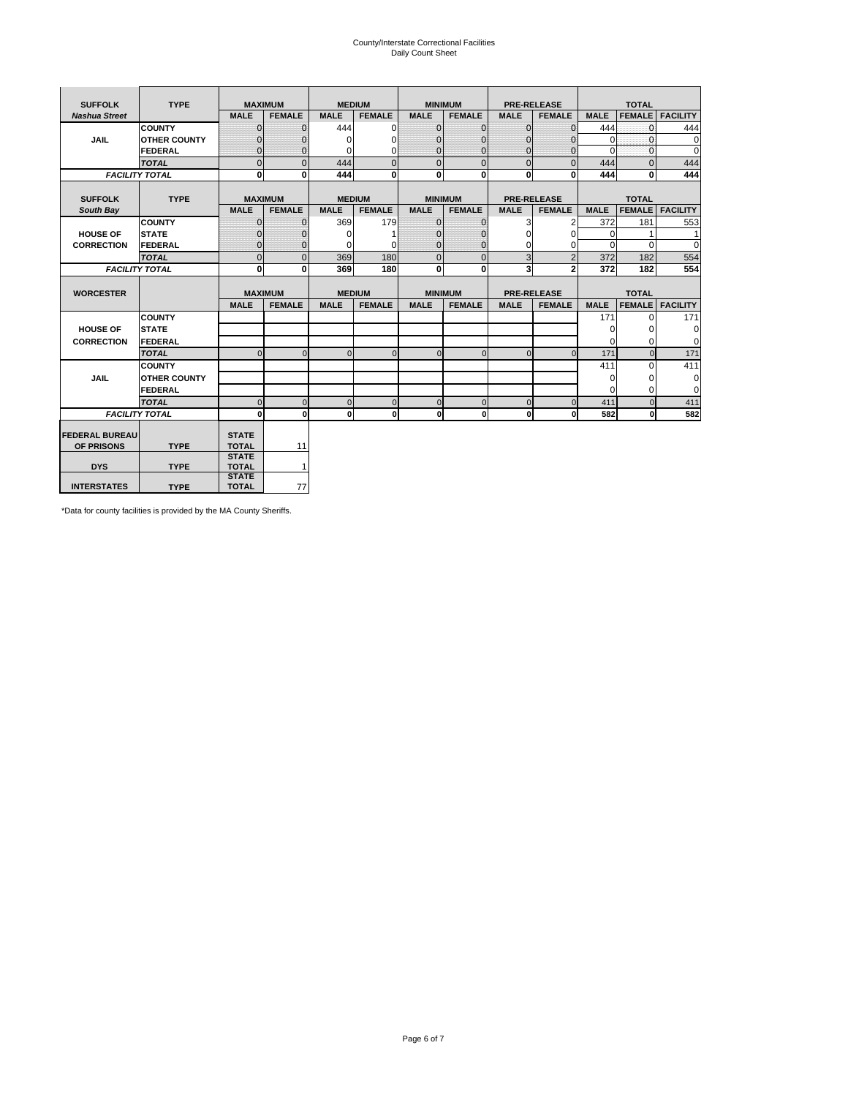# County/Interstate Correctional Facilities Daily Count Sheet

| <b>SUFFOLK</b>        | <b>TYPE</b>           |                              | <b>MAXIMUM</b> |               | <b>MEDIUM</b> |                | <b>MINIMUM</b> |              | <b>PRE-RELEASE</b> |             | <b>TOTAL</b>  |                 |
|-----------------------|-----------------------|------------------------------|----------------|---------------|---------------|----------------|----------------|--------------|--------------------|-------------|---------------|-----------------|
| <b>Nashua Street</b>  |                       | <b>MALE</b>                  | <b>FEMALE</b>  | <b>MALE</b>   | <b>FEMALE</b> | <b>MALE</b>    | <b>FEMALE</b>  | <b>MALE</b>  | <b>FEMALE</b>      | <b>MALE</b> | <b>FEMALE</b> | <b>FACILITY</b> |
|                       | <b>COUNTY</b>         | $\Omega$                     | $\mathbf{0}$   | 444           | $\Omega$      | $\mathbf{0}$   | $\Omega$       | $\mathbf{0}$ | $\Omega$           | 444         | $\Omega$      | 444             |
| JAIL                  | <b>OTHER COUNTY</b>   | $\Omega$                     | $\Omega$       | $\Omega$      | 0             | $\Omega$       | $\Omega$       | $\Omega$     | $\Omega$           | $\Omega$    | $\Omega$      | 0               |
|                       | <b>FEDERAL</b>        | $\mathbf{0}$                 | $\mathbf{0}$   | 0             | 0             | $\mathbf{0}$   | $\mathbf{0}$   | $\mathbf 0$  | $\mathbf{0}$       | $\Omega$    | 0             | $\mathbf 0$     |
|                       | <b>TOTAL</b>          | $\Omega$                     | $\Omega$       | 444           | $\Omega$      | $\overline{0}$ | $\Omega$       | $\Omega$     | $\Omega$           | 444         | $\Omega$      | 444             |
|                       | <b>FACILITY TOTAL</b> | 0                            | $\mathbf{0}$   | 444           | 0             | $\mathbf{0}$   | $\bf{0}$       | $\mathbf{0}$ | 0                  | 444         | 0             | 444             |
|                       |                       |                              |                |               |               |                |                |              |                    |             |               |                 |
| <b>SUFFOLK</b>        | <b>TYPE</b>           |                              | <b>MAXIMUM</b> | <b>MEDIUM</b> |               |                | <b>MINIMUM</b> |              | <b>PRE-RELEASE</b> |             | <b>TOTAL</b>  |                 |
| South Bay             |                       | <b>MALE</b>                  | <b>FEMALE</b>  | <b>MALE</b>   | <b>FEMALE</b> | <b>MALE</b>    | <b>FEMALE</b>  | <b>MALE</b>  | <b>FEMALE</b>      | <b>MALE</b> | <b>FEMALE</b> | <b>FACILITY</b> |
|                       | <b>COUNTY</b>         | $\Omega$                     | $\mathbf{0}$   | 369           | 179           | $\mathbf{0}$   | $\mathbf{0}$   | 3            | 2                  | 372         | 181           | 553             |
| <b>HOUSE OF</b>       | <b>STATE</b>          |                              | $\overline{0}$ | $\Omega$      |               | $\Omega$       | O              | $\Omega$     | $\Omega$           | $\Omega$    |               | 1               |
| <b>CORRECTION</b>     | <b>FEDERAL</b>        | $\Omega$                     | $\overline{0}$ | 0             | $\Omega$      | $\mathbf{0}$   | $\Omega$       | $\Omega$     | 0                  | $\Omega$    | $\Omega$      | $\Omega$        |
|                       | <b>TOTAL</b>          | $\Omega$                     | $\overline{0}$ | 369           | 180           | $\mathbf 0$    | $\mathbf{0}$   | 3            | $\overline{2}$     | 372         | 182           | 554             |
|                       | <b>FACILITY TOTAL</b> | 0                            | 0              | 369           | 180           | $\mathbf{0}$   | 0              | 3            | $\mathbf{2}$       | 372         | 182           | 554             |
|                       |                       |                              |                |               |               |                |                |              |                    |             |               |                 |
| <b>WORCESTER</b>      |                       |                              | <b>MAXIMUM</b> | <b>MEDIUM</b> |               |                | <b>MINIMUM</b> |              | <b>PRE-RELEASE</b> |             | <b>TOTAL</b>  |                 |
|                       |                       | <b>MALE</b>                  | <b>FEMALE</b>  | <b>MALE</b>   | <b>FEMALE</b> | <b>MALE</b>    | <b>FEMALE</b>  | <b>MALE</b>  | <b>FEMALE</b>      | <b>MALE</b> | <b>FEMALE</b> | <b>FACILITY</b> |
|                       | <b>COUNTY</b>         |                              |                |               |               |                |                |              |                    | 171         | $\Omega$      | 171             |
| <b>HOUSE OF</b>       | <b>STATE</b>          |                              |                |               |               |                |                |              |                    | 0           | 0             | 0               |
| <b>CORRECTION</b>     | FEDERAL               |                              |                |               |               |                |                |              |                    | $\Omega$    | $\Omega$      | 0               |
|                       | <b>TOTAL</b>          | $\Omega$                     | $\mathbf{0}$   | $\Omega$      | $\mathbf 0$   | $\mathbf{0}$   | $\mathbf{0}$   | $\mathbf{0}$ | $\Omega$           | 171         | $\mathbf{0}$  | 171             |
|                       | <b>COUNTY</b>         |                              |                |               |               |                |                |              |                    | 411         | $\Omega$      | 411             |
| <b>JAIL</b>           | <b>OTHER COUNTY</b>   |                              |                |               |               |                |                |              |                    | $\Omega$    | $\Omega$      | 0               |
|                       | FEDERAL               |                              |                |               |               |                |                |              |                    | $\Omega$    | $\Omega$      | $\mathbf 0$     |
|                       | <b>TOTAL</b>          | $\cap$                       | $\Omega$       | $\Omega$      | $\mathbf{0}$  | $\mathbf{0}$   | $\Omega$       | $\Omega$     | $\Omega$           | 411         | $\Omega$      | 411             |
|                       | <b>FACILITY TOTAL</b> | $\Omega$                     | 0              | $\Omega$      | 0             | $\mathbf{0}$   | $\bf{0}$       | $\mathbf 0$  | 0                  | 582         | O             | 582             |
|                       |                       |                              |                |               |               |                |                |              |                    |             |               |                 |
| <b>FEDERAL BUREAU</b> |                       | <b>STATE</b>                 |                |               |               |                |                |              |                    |             |               |                 |
| OF PRISONS            | <b>TYPE</b>           | <b>TOTAL</b>                 | 11             |               |               |                |                |              |                    |             |               |                 |
| <b>DYS</b>            | <b>TYPE</b>           | <b>STATE</b><br><b>TOTAL</b> | $\mathbf{1}$   |               |               |                |                |              |                    |             |               |                 |
|                       |                       | <b>STATE</b>                 |                |               |               |                |                |              |                    |             |               |                 |
| <b>INTERSTATES</b>    | <b>TYPE</b>           | <b>TOTAL</b>                 | 77             |               |               |                |                |              |                    |             |               |                 |

\*Data for county facilities is provided by the MA County Sheriffs.